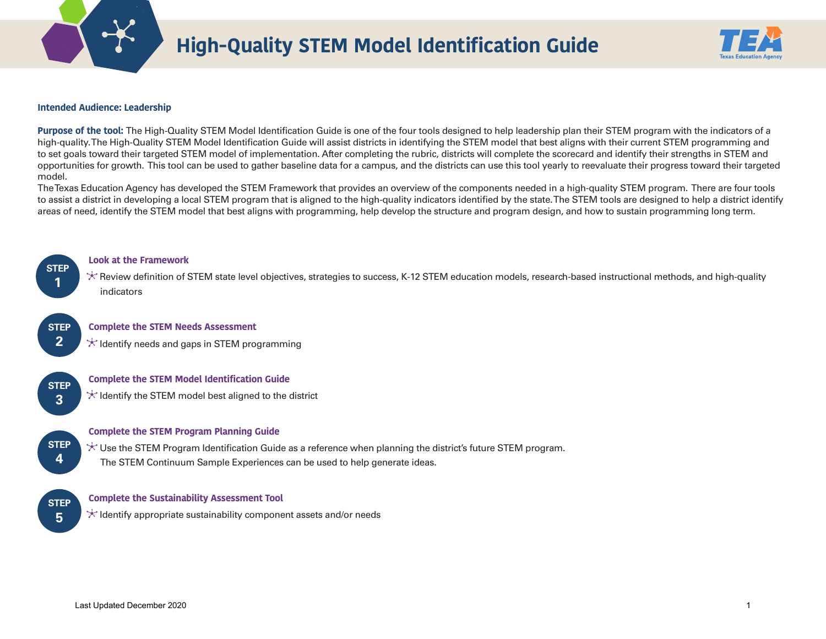

# **High-Quality STEM Model Identification Guide**



### **Intended Audience: Leadership**

**Purpose of the tool:** The High-Quality STEM Model Identification Guide is one of the four tools designed to help leadership plan their STEM program with the indicators of a high-quality. The High-Quality STEM Model Identification Guide will assist districts in identifying the STEM model that best aligns with their current STEM programming and to set goals toward their targeted STEM model of implementation. After completing the rubric, districts will complete the scorecard and identify their strengths in STEM and opportunities for growth. This tool can be used to gather baseline data for a campus, and the districts can use this tool yearly to reevaluate their progress toward their targeted model.

The Texas Education Agency has developed the STEM Framework that provides an overview of the components needed in a high-quality STEM program. There are four tools to assist a district in developing a local STEM program that is aligned to the high-quality indicators identified by the state. The STEM tools are designed to help a district identify areas of need, identify the STEM model that best aligns with programming, help develop the structure and program design, and how to sustain programming long term.



**STEP 2** 

**STEP 3** 

#### **Look at the Framework**

\* Review definition of STEM state level objectives, strategies to success, K-12 STEM education models, research-based instructional methods, and high-quality indicators

#### **Complete the STEM Needs Assessment**

 $\star$  Identify needs and gaps in STEM programming

#### **Complete the STEM Model Identification Guide**

 $\star$  Identify the STEM model best aligned to the district



#### **Complete the STEM Program Planning Guide**

 $\star$  Use the STEM Program Identification Guide as a reference when planning the district's future STEM program. The STEM Continuum Sample Experiences can be used to help generate ideas.

**STEP 5** 

#### **Complete the Sustainability Assessment Tool**

 $\star$  Identify appropriate sustainability component assets and/or needs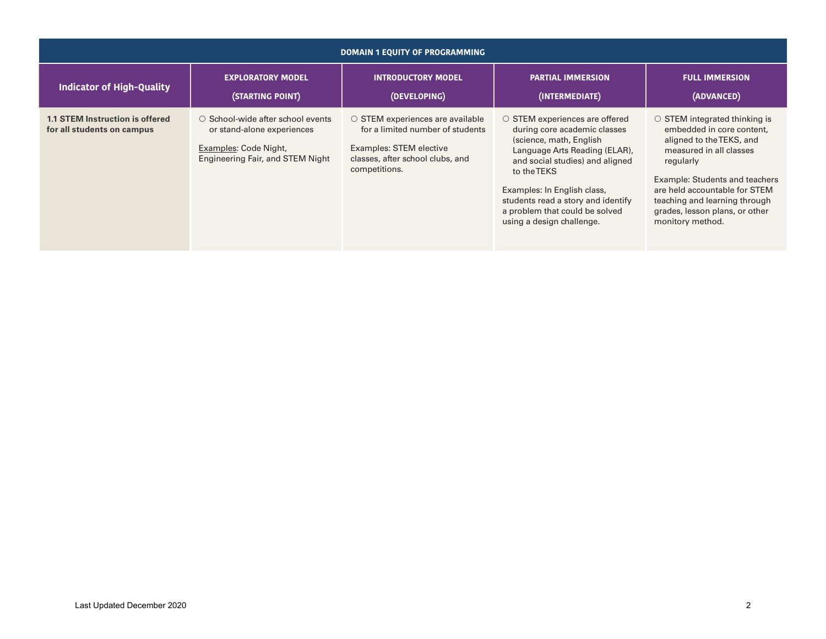| <b>DOMAIN 1 EQUITY OF PROGRAMMING</b>                         |                                                                                                                              |                                                                                                                                                            |                                                                                                                                                                                                                                                                                                                        |                                                                                                                                                                                                                                                                                                |  |
|---------------------------------------------------------------|------------------------------------------------------------------------------------------------------------------------------|------------------------------------------------------------------------------------------------------------------------------------------------------------|------------------------------------------------------------------------------------------------------------------------------------------------------------------------------------------------------------------------------------------------------------------------------------------------------------------------|------------------------------------------------------------------------------------------------------------------------------------------------------------------------------------------------------------------------------------------------------------------------------------------------|--|
| <b>Indicator of High-Quality</b>                              | <b>EXPLORATORY MODEL</b><br>(STARTING POINT)                                                                                 | <b>INTRODUCTORY MODEL</b><br>(DEVELOPING)                                                                                                                  | <b>PARTIAL IMMERSION</b><br>(INTERMEDIATE)                                                                                                                                                                                                                                                                             | <b>FULL IMMERSION</b><br>(ADVANCED)                                                                                                                                                                                                                                                            |  |
| 1.1 STEM Instruction is offered<br>for all students on campus | ○ School-wide after school events<br>or stand-alone experiences<br>Examples: Code Night,<br>Engineering Fair, and STEM Night | $\circ$ STEM experiences are available<br>for a limited number of students<br>Examples: STEM elective<br>classes, after school clubs, and<br>competitions. | $\circ$ STEM experiences are offered<br>during core academic classes<br>(science, math, English<br>Language Arts Reading (ELAR),<br>and social studies) and aligned<br>to the TEKS<br>Examples: In English class,<br>students read a story and identify<br>a problem that could be solved<br>using a design challenge. | $\circ$ STEM integrated thinking is<br>embedded in core content,<br>aligned to the TEKS, and<br>measured in all classes<br>regularly<br>Example: Students and teachers<br>are held accountable for STEM<br>teaching and learning through<br>grades, lesson plans, or other<br>monitory method. |  |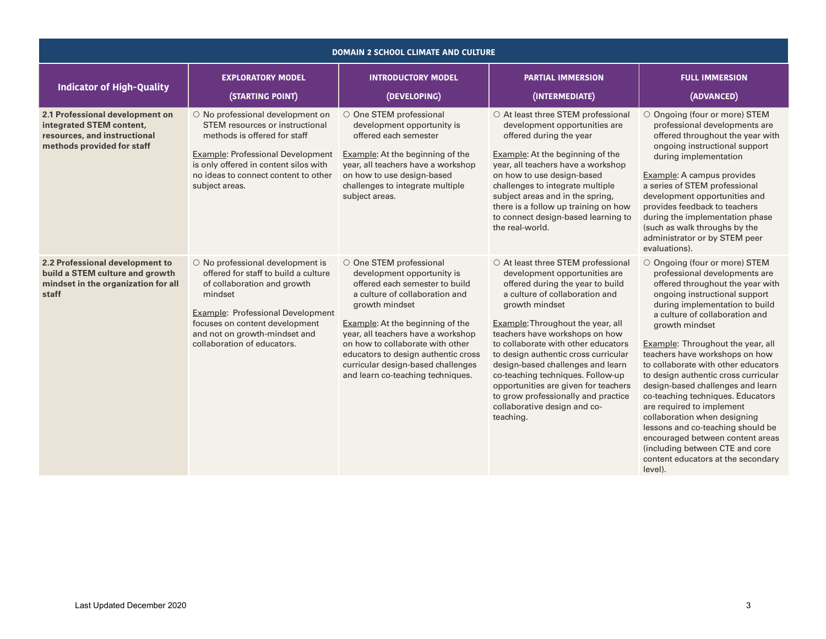| DOMAIN 2 SCHOOL CLIMATE AND CULTURE                                                                                       |                                                                                                                                                                                                                                                           |                                                                                                                                                                                                                                                                                                                                                                                    |                                                                                                                                                                                                                                                                                                                                                                                                                                                                                                                         |                                                                                                                                                                                                                                                                                                                                                                                                                                                                                                                                                                                                                                                                                     |  |  |
|---------------------------------------------------------------------------------------------------------------------------|-----------------------------------------------------------------------------------------------------------------------------------------------------------------------------------------------------------------------------------------------------------|------------------------------------------------------------------------------------------------------------------------------------------------------------------------------------------------------------------------------------------------------------------------------------------------------------------------------------------------------------------------------------|-------------------------------------------------------------------------------------------------------------------------------------------------------------------------------------------------------------------------------------------------------------------------------------------------------------------------------------------------------------------------------------------------------------------------------------------------------------------------------------------------------------------------|-------------------------------------------------------------------------------------------------------------------------------------------------------------------------------------------------------------------------------------------------------------------------------------------------------------------------------------------------------------------------------------------------------------------------------------------------------------------------------------------------------------------------------------------------------------------------------------------------------------------------------------------------------------------------------------|--|--|
| <b>Indicator of High-Quality</b>                                                                                          | <b>EXPLORATORY MODEL</b><br>(STARTING POINT)                                                                                                                                                                                                              | <b>INTRODUCTORY MODEL</b><br>(DEVELOPING)                                                                                                                                                                                                                                                                                                                                          | <b>PARTIAL IMMERSION</b><br>(INTERMEDIATE)                                                                                                                                                                                                                                                                                                                                                                                                                                                                              | <b>FULL IMMERSION</b><br>(ADVANCED)                                                                                                                                                                                                                                                                                                                                                                                                                                                                                                                                                                                                                                                 |  |  |
| 2.1 Professional development on<br>integrated STEM content,<br>resources, and instructional<br>methods provided for staff | O No professional development on<br>STEM resources or instructional<br>methods is offered for staff<br><b>Example: Professional Development</b><br>is only offered in content silos with<br>no ideas to connect content to other<br>subject areas.        | O One STEM professional<br>development opportunity is<br>offered each semester<br>Example: At the beginning of the<br>year, all teachers have a workshop<br>on how to use design-based<br>challenges to integrate multiple<br>subject areas.                                                                                                                                       | O At least three STEM professional<br>development opportunities are<br>offered during the year<br>Example: At the beginning of the<br>year, all teachers have a workshop<br>on how to use design-based<br>challenges to integrate multiple<br>subject areas and in the spring,<br>there is a follow up training on how<br>to connect design-based learning to<br>the real-world.                                                                                                                                        | ○ Ongoing (four or more) STEM<br>professional developments are<br>offered throughout the year with<br>ongoing instructional support<br>during implementation<br>Example: A campus provides<br>a series of STEM professional<br>development opportunities and<br>provides feedback to teachers<br>during the implementation phase<br>(such as walk throughs by the<br>administrator or by STEM peer<br>evaluations).                                                                                                                                                                                                                                                                 |  |  |
| 2.2 Professional development to<br>build a STEM culture and growth<br>mindset in the organization for all<br>staff        | O No professional development is<br>offered for staff to build a culture<br>of collaboration and growth<br>mindset<br>Example: Professional Development<br>focuses on content development<br>and not on growth-mindset and<br>collaboration of educators. | O One STEM professional<br>development opportunity is<br>offered each semester to build<br>a culture of collaboration and<br>growth mindset<br><b>Example:</b> At the beginning of the<br>year, all teachers have a workshop<br>on how to collaborate with other<br>educators to design authentic cross<br>curricular design-based challenges<br>and learn co-teaching techniques. | ○ At least three STEM professional<br>development opportunities are<br>offered during the year to build<br>a culture of collaboration and<br>growth mindset<br>Example: Throughout the year, all<br>teachers have workshops on how<br>to collaborate with other educators<br>to design authentic cross curricular<br>design-based challenges and learn<br>co-teaching techniques. Follow-up<br>opportunities are given for teachers<br>to grow professionally and practice<br>collaborative design and co-<br>teaching. | O Ongoing (four or more) STEM<br>professional developments are<br>offered throughout the year with<br>ongoing instructional support<br>during implementation to build<br>a culture of collaboration and<br>growth mindset<br>Example: Throughout the year, all<br>teachers have workshops on how<br>to collaborate with other educators<br>to design authentic cross curricular<br>design-based challenges and learn<br>co-teaching techniques. Educators<br>are required to implement<br>collaboration when designing<br>lessons and co-teaching should be<br>encouraged between content areas<br>(including between CTE and core<br>content educators at the secondary<br>level). |  |  |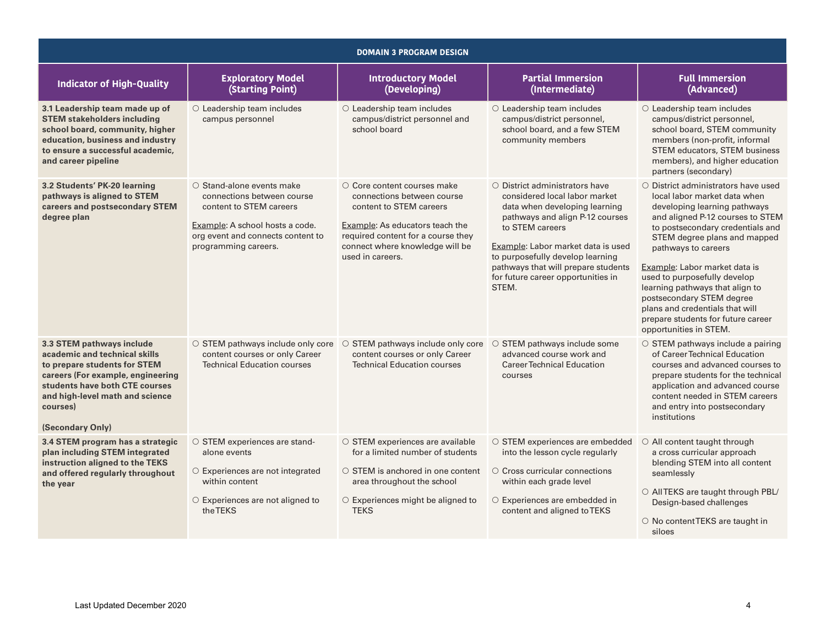| <b>DOMAIN 3 PROGRAM DESIGN</b>                                                                                                                                                                                                       |                                                                                                                                                                                          |                                                                                                                                                                                                                            |                                                                                                                                                                                                                                                                                                                              |                                                                                                                                                                                                                                                                                                                                                                                                                                                                              |  |
|--------------------------------------------------------------------------------------------------------------------------------------------------------------------------------------------------------------------------------------|------------------------------------------------------------------------------------------------------------------------------------------------------------------------------------------|----------------------------------------------------------------------------------------------------------------------------------------------------------------------------------------------------------------------------|------------------------------------------------------------------------------------------------------------------------------------------------------------------------------------------------------------------------------------------------------------------------------------------------------------------------------|------------------------------------------------------------------------------------------------------------------------------------------------------------------------------------------------------------------------------------------------------------------------------------------------------------------------------------------------------------------------------------------------------------------------------------------------------------------------------|--|
| <b>Indicator of High-Quality</b>                                                                                                                                                                                                     | <b>Exploratory Model</b><br>(Starting Point)                                                                                                                                             | <b>Introductory Model</b><br>(Developing)                                                                                                                                                                                  | <b>Partial Immersion</b><br>(Intermediate)                                                                                                                                                                                                                                                                                   | <b>Full Immersion</b><br>(Advanced)                                                                                                                                                                                                                                                                                                                                                                                                                                          |  |
| 3.1 Leadership team made up of<br><b>STEM stakeholders including</b><br>school board, community, higher<br>education, business and industry<br>to ensure a successful academic,<br>and career pipeline                               | O Leadership team includes<br>campus personnel                                                                                                                                           | O Leadership team includes<br>campus/district personnel and<br>school board                                                                                                                                                | O Leadership team includes<br>campus/district personnel,<br>school board, and a few STEM<br>community members                                                                                                                                                                                                                | O Leadership team includes<br>campus/district personnel,<br>school board, STEM community<br>members (non-profit, informal<br>STEM educators, STEM business<br>members), and higher education<br>partners (secondary)                                                                                                                                                                                                                                                         |  |
| 3.2 Students' PK-20 learning<br>pathways is aligned to STEM<br>careers and postsecondary STEM<br>degree plan                                                                                                                         | $\circ$ Stand-alone events make<br>connections between course<br>content to STEM careers<br>Example: A school hosts a code.<br>org event and connects content to<br>programming careers. | $\circ$ Core content courses make<br>connections between course<br>content to STEM careers<br>Example: As educators teach the<br>required content for a course they<br>connect where knowledge will be<br>used in careers. | $\circ$ District administrators have<br>considered local labor market<br>data when developing learning<br>pathways and align P-12 courses<br>to STEM careers<br>Example: Labor market data is used<br>to purposefully develop learning<br>pathways that will prepare students<br>for future career opportunities in<br>STEM. | $\circ$ District administrators have used<br>local labor market data when<br>developing learning pathways<br>and aligned P-12 courses to STEM<br>to postsecondary credentials and<br>STEM degree plans and mapped<br>pathways to careers<br>Example: Labor market data is<br>used to purposefully develop<br>learning pathways that align to<br>postsecondary STEM degree<br>plans and credentials that will<br>prepare students for future career<br>opportunities in STEM. |  |
| 3.3 STEM pathways include<br>academic and technical skills<br>to prepare students for STEM<br>careers (For example, engineering<br>students have both CTE courses<br>and high-level math and science<br>courses)<br>(Secondary Only) | $\circ$ STEM pathways include only core<br>content courses or only Career<br><b>Technical Education courses</b>                                                                          | $\circ$ STEM pathways include only core<br>content courses or only Career<br><b>Technical Education courses</b>                                                                                                            | STEM pathways include some<br>$\bigcirc$<br>advanced course work and<br><b>Career Technical Education</b><br>courses                                                                                                                                                                                                         | ○ STEM pathways include a pairing<br>of Career Technical Education<br>courses and advanced courses to<br>prepare students for the technical<br>application and advanced course<br>content needed in STEM careers<br>and entry into postsecondary<br>institutions                                                                                                                                                                                                             |  |
| 3.4 STEM program has a strategic<br>plan including STEM integrated<br>instruction aligned to the TEKS<br>and offered regularly throughout<br>the year                                                                                | ○ STEM experiences are stand-<br>alone events<br>O Experiences are not integrated<br>within content<br>$\circ$ Experiences are not aligned to<br>theTEKS                                 | ○ STEM experiences are available<br>for a limited number of students<br>$\circ$ STEM is anchored in one content<br>area throughout the school<br>○ Experiences might be aligned to<br><b>TEKS</b>                          | ○ STEM experiences are embedded<br>into the lesson cycle regularly<br>$\circ$ Cross curricular connections<br>within each grade level<br>O Experiences are embedded in<br>content and aligned to TEKS                                                                                                                        | $\circ$ All content taught through<br>a cross curricular approach<br>blending STEM into all content<br>seamlessly<br>O AllTEKS are taught through PBL/<br>Design-based challenges<br>O No content TEKS are taught in<br>siloes                                                                                                                                                                                                                                               |  |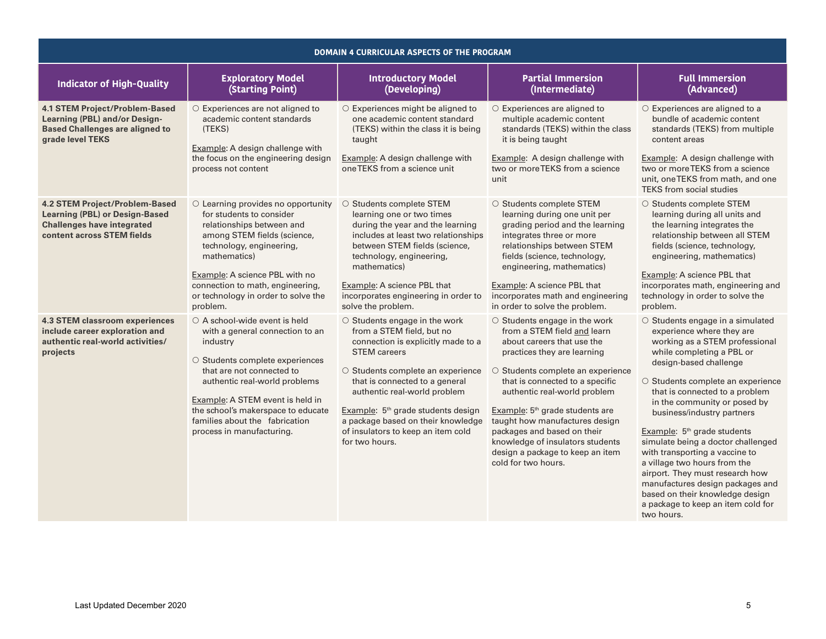| DOMAIN 4 CURRICULAR ASPECTS OF THE PROGRAM                                                                                                  |                                                                                                                                                                                                                                                                                                                              |                                                                                                                                                                                                                                                                                                                                                                                |                                                                                                                                                                                                                                                                                                                                                                                                                                                  |                                                                                                                                                                                                                                                                                                                                                                                                                                                                                                                                                                                                              |  |  |
|---------------------------------------------------------------------------------------------------------------------------------------------|------------------------------------------------------------------------------------------------------------------------------------------------------------------------------------------------------------------------------------------------------------------------------------------------------------------------------|--------------------------------------------------------------------------------------------------------------------------------------------------------------------------------------------------------------------------------------------------------------------------------------------------------------------------------------------------------------------------------|--------------------------------------------------------------------------------------------------------------------------------------------------------------------------------------------------------------------------------------------------------------------------------------------------------------------------------------------------------------------------------------------------------------------------------------------------|--------------------------------------------------------------------------------------------------------------------------------------------------------------------------------------------------------------------------------------------------------------------------------------------------------------------------------------------------------------------------------------------------------------------------------------------------------------------------------------------------------------------------------------------------------------------------------------------------------------|--|--|
| <b>Indicator of High-Quality</b>                                                                                                            | <b>Exploratory Model</b><br>(Starting Point)                                                                                                                                                                                                                                                                                 | <b>Introductory Model</b><br>(Developing)                                                                                                                                                                                                                                                                                                                                      | <b>Partial Immersion</b><br>(Intermediate)                                                                                                                                                                                                                                                                                                                                                                                                       | <b>Full Immersion</b><br>(Advanced)                                                                                                                                                                                                                                                                                                                                                                                                                                                                                                                                                                          |  |  |
| <b>4.1 STEM Project/Problem-Based</b><br><b>Learning (PBL) and/or Design-</b><br><b>Based Challenges are aligned to</b><br>grade level TEKS | ○ Experiences are not aligned to<br>academic content standards<br>(TEKS)<br>Example: A design challenge with<br>the focus on the engineering design<br>process not content                                                                                                                                                   | ○ Experiences might be aligned to<br>one academic content standard<br>(TEKS) within the class it is being<br>taught<br>Example: A design challenge with<br>one TEKS from a science unit                                                                                                                                                                                        | $\circ$ Experiences are aligned to<br>multiple academic content<br>standards (TEKS) within the class<br>it is being taught<br>Example: A design challenge with<br>two or more TEKS from a science<br>unit                                                                                                                                                                                                                                        | $\circ$ Experiences are aligned to a<br>bundle of academic content<br>standards (TEKS) from multiple<br>content areas<br>Example: A design challenge with<br>two or more TEKS from a science<br>unit, one TEKS from math, and one<br><b>TEKS</b> from social studies                                                                                                                                                                                                                                                                                                                                         |  |  |
| 4.2 STEM Project/Problem-Based<br><b>Learning (PBL) or Design-Based</b><br><b>Challenges have integrated</b><br>content across STEM fields  | $\circ$ Learning provides no opportunity<br>for students to consider<br>relationships between and<br>among STEM fields (science,<br>technology, engineering,<br>mathematics)<br>Example: A science PBL with no<br>connection to math, engineering,<br>or technology in order to solve the<br>problem.                        | ○ Students complete STEM<br>learning one or two times<br>during the year and the learning<br>includes at least two relationships<br>between STEM fields (science,<br>technology, engineering,<br>mathematics)<br>Example: A science PBL that<br>incorporates engineering in order to<br>solve the problem.                                                                     | ○ Students complete STEM<br>learning during one unit per<br>grading period and the learning<br>integrates three or more<br>relationships between STEM<br>fields (science, technology,<br>engineering, mathematics)<br>Example: A science PBL that<br>incorporates math and engineering<br>in order to solve the problem.                                                                                                                         | ○ Students complete STEM<br>learning during all units and<br>the learning integrates the<br>relationship between all STEM<br>fields (science, technology,<br>engineering, mathematics)<br>Example: A science PBL that<br>incorporates math, engineering and<br>technology in order to solve the<br>problem.                                                                                                                                                                                                                                                                                                  |  |  |
| 4.3 STEM classroom experiences<br>include career exploration and<br>authentic real-world activities/<br>projects                            | $\circ$ A school-wide event is held<br>with a general connection to an<br>industry<br>O Students complete experiences<br>that are not connected to<br>authentic real-world problems<br>Example: A STEM event is held in<br>the school's makerspace to educate<br>families about the fabrication<br>process in manufacturing. | ○ Students engage in the work<br>from a STEM field, but no<br>connection is explicitly made to a<br><b>STEM</b> careers<br>O Students complete an experience<br>that is connected to a general<br>authentic real-world problem<br>Example: 5 <sup>th</sup> grade students design<br>a package based on their knowledge<br>of insulators to keep an item cold<br>for two hours. | ○ Students engage in the work<br>from a STEM field and learn<br>about careers that use the<br>practices they are learning<br>○ Students complete an experience<br>that is connected to a specific<br>authentic real-world problem<br>Example: 5 <sup>th</sup> grade students are<br>taught how manufactures design<br>packages and based on their<br>knowledge of insulators students<br>design a package to keep an item<br>cold for two hours. | O Students engage in a simulated<br>experience where they are<br>working as a STEM professional<br>while completing a PBL or<br>design-based challenge<br>O Students complete an experience<br>that is connected to a problem<br>in the community or posed by<br>business/industry partners<br>Example: 5 <sup>th</sup> grade students<br>simulate being a doctor challenged<br>with transporting a vaccine to<br>a village two hours from the<br>airport. They must research how<br>manufactures design packages and<br>based on their knowledge design<br>a package to keep an item cold for<br>two hours. |  |  |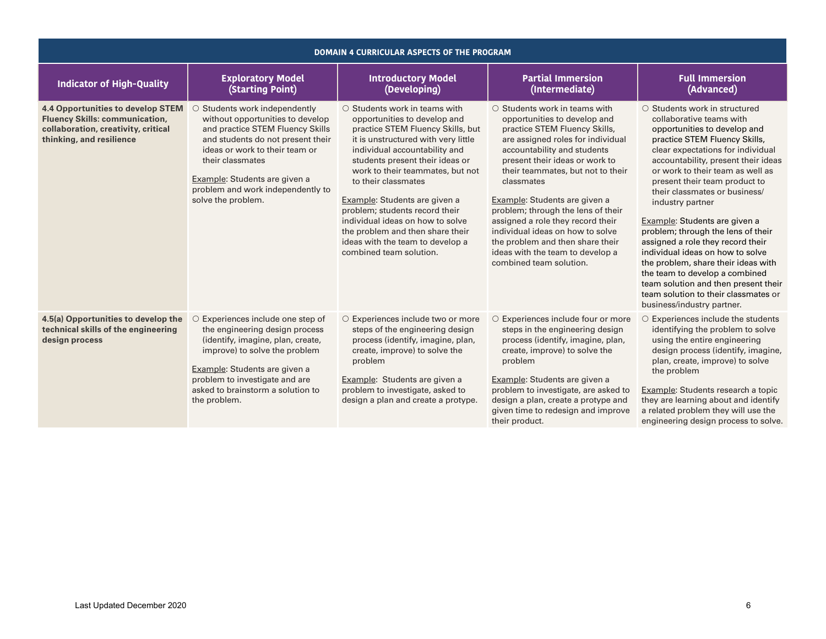| DOMAIN 4 CURRICULAR ASPECTS OF THE PROGRAM                                                                                                           |                                                                                                                                                                                                                                                                                              |                                                                                                                                                                                                                                                                                                                                                                                                                                                                                          |                                                                                                                                                                                                                                                                                                                                                                                                                                                                                                                  |                                                                                                                                                                                                                                                                                                                                                                                                                                                                                                                                                                                                                                                                         |  |  |
|------------------------------------------------------------------------------------------------------------------------------------------------------|----------------------------------------------------------------------------------------------------------------------------------------------------------------------------------------------------------------------------------------------------------------------------------------------|------------------------------------------------------------------------------------------------------------------------------------------------------------------------------------------------------------------------------------------------------------------------------------------------------------------------------------------------------------------------------------------------------------------------------------------------------------------------------------------|------------------------------------------------------------------------------------------------------------------------------------------------------------------------------------------------------------------------------------------------------------------------------------------------------------------------------------------------------------------------------------------------------------------------------------------------------------------------------------------------------------------|-------------------------------------------------------------------------------------------------------------------------------------------------------------------------------------------------------------------------------------------------------------------------------------------------------------------------------------------------------------------------------------------------------------------------------------------------------------------------------------------------------------------------------------------------------------------------------------------------------------------------------------------------------------------------|--|--|
| <b>Indicator of High-Quality</b>                                                                                                                     | <b>Exploratory Model</b><br>(Starting Point)                                                                                                                                                                                                                                                 | <b>Introductory Model</b><br>(Developing)                                                                                                                                                                                                                                                                                                                                                                                                                                                | <b>Partial Immersion</b><br>(Intermediate)                                                                                                                                                                                                                                                                                                                                                                                                                                                                       | <b>Full Immersion</b><br>(Advanced)                                                                                                                                                                                                                                                                                                                                                                                                                                                                                                                                                                                                                                     |  |  |
| <b>4.4 Opportunities to develop STEM</b><br><b>Fluency Skills: communication,</b><br>collaboration, creativity, critical<br>thinking, and resilience | O Students work independently<br>without opportunities to develop<br>and practice STEM Fluency Skills<br>and students do not present their<br>ideas or work to their team or<br>their classmates<br>Example: Students are given a<br>problem and work independently to<br>solve the problem. | $\circ$ Students work in teams with<br>opportunities to develop and<br>practice STEM Fluency Skills, but<br>it is unstructured with very little<br>individual accountability and<br>students present their ideas or<br>work to their teammates, but not<br>to their classmates<br>Example: Students are given a<br>problem; students record their<br>individual ideas on how to solve<br>the problem and then share their<br>ideas with the team to develop a<br>combined team solution. | $\circ$ Students work in teams with<br>opportunities to develop and<br>practice STEM Fluency Skills,<br>are assigned roles for individual<br>accountability and students<br>present their ideas or work to<br>their teammates, but not to their<br>classmates<br>Example: Students are given a<br>problem; through the lens of their<br>assigned a role they record their<br>individual ideas on how to solve<br>the problem and then share their<br>ideas with the team to develop a<br>combined team solution. | ○ Students work in structured<br>collaborative teams with<br>opportunities to develop and<br>practice STEM Fluency Skills,<br>clear expectations for individual<br>accountability, present their ideas<br>or work to their team as well as<br>present their team product to<br>their classmates or business/<br>industry partner<br>Example: Students are given a<br>problem; through the lens of their<br>assigned a role they record their<br>individual ideas on how to solve<br>the problem, share their ideas with<br>the team to develop a combined<br>team solution and then present their<br>team solution to their classmates or<br>business/industry partner. |  |  |
| 4.5(a) Opportunities to develop the<br>technical skills of the engineering<br>design process                                                         | O Experiences include one step of<br>the engineering design process<br>(identify, imagine, plan, create,<br>improve) to solve the problem<br>Example: Students are given a<br>problem to investigate and are<br>asked to brainstorm a solution to<br>the problem.                            | O Experiences include two or more<br>steps of the engineering design<br>process (identify, imagine, plan,<br>create, improve) to solve the<br>problem<br>Example: Students are given a<br>problem to investigate, asked to<br>design a plan and create a protype.                                                                                                                                                                                                                        | O Experiences include four or more<br>steps in the engineering design<br>process (identify, imagine, plan,<br>create, improve) to solve the<br>problem<br>Example: Students are given a<br>problem to investigate, are asked to<br>design a plan, create a protype and<br>given time to redesign and improve<br>their product.                                                                                                                                                                                   | $\circ$ Experiences include the students<br>identifying the problem to solve<br>using the entire engineering<br>design process (identify, imagine,<br>plan, create, improve) to solve<br>the problem<br>Example: Students research a topic<br>they are learning about and identify<br>a related problem they will use the<br>engineering design process to solve.                                                                                                                                                                                                                                                                                                       |  |  |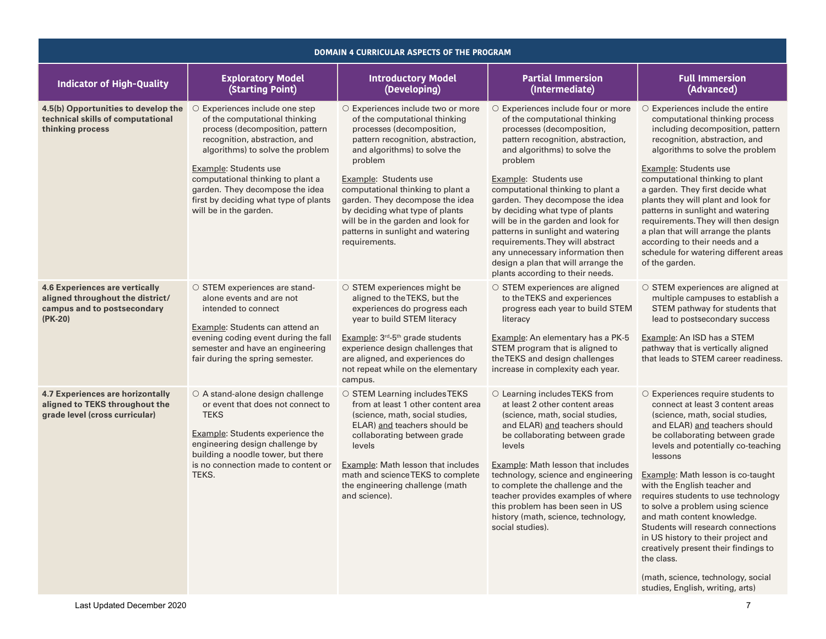| DOMAIN 4 CURRICULAR ASPECTS OF THE PROGRAM                                                                            |                                                                                                                                                                                                                                                                                                                                             |                                                                                                                                                                                                                                                                                                                                                                                                                 |                                                                                                                                                                                                                                                                                                                                                                                                                                                                                                                                                    |                                                                                                                                                                                                                                                                                                                                                                                                                                                                                                                                                                                                                         |  |  |
|-----------------------------------------------------------------------------------------------------------------------|---------------------------------------------------------------------------------------------------------------------------------------------------------------------------------------------------------------------------------------------------------------------------------------------------------------------------------------------|-----------------------------------------------------------------------------------------------------------------------------------------------------------------------------------------------------------------------------------------------------------------------------------------------------------------------------------------------------------------------------------------------------------------|----------------------------------------------------------------------------------------------------------------------------------------------------------------------------------------------------------------------------------------------------------------------------------------------------------------------------------------------------------------------------------------------------------------------------------------------------------------------------------------------------------------------------------------------------|-------------------------------------------------------------------------------------------------------------------------------------------------------------------------------------------------------------------------------------------------------------------------------------------------------------------------------------------------------------------------------------------------------------------------------------------------------------------------------------------------------------------------------------------------------------------------------------------------------------------------|--|--|
| <b>Indicator of High-Quality</b>                                                                                      | <b>Exploratory Model</b><br>(Starting Point)                                                                                                                                                                                                                                                                                                | <b>Introductory Model</b><br>(Developing)                                                                                                                                                                                                                                                                                                                                                                       | <b>Partial Immersion</b><br>(Intermediate)                                                                                                                                                                                                                                                                                                                                                                                                                                                                                                         | <b>Full Immersion</b><br>(Advanced)                                                                                                                                                                                                                                                                                                                                                                                                                                                                                                                                                                                     |  |  |
| 4.5(b) Opportunities to develop the<br>technical skills of computational<br>thinking process                          | ○ Experiences include one step<br>of the computational thinking<br>process (decomposition, pattern<br>recognition, abstraction, and<br>algorithms) to solve the problem<br>Example: Students use<br>computational thinking to plant a<br>garden. They decompose the idea<br>first by deciding what type of plants<br>will be in the garden. | O Experiences include two or more<br>of the computational thinking<br>processes (decomposition,<br>pattern recognition, abstraction,<br>and algorithms) to solve the<br>problem<br>Example: Students use<br>computational thinking to plant a<br>garden. They decompose the idea<br>by deciding what type of plants<br>will be in the garden and look for<br>patterns in sunlight and watering<br>requirements. | O Experiences include four or more<br>of the computational thinking<br>processes (decomposition,<br>pattern recognition, abstraction,<br>and algorithms) to solve the<br>problem<br>Example: Students use<br>computational thinking to plant a<br>garden. They decompose the idea<br>by deciding what type of plants<br>will be in the garden and look for<br>patterns in sunlight and watering<br>requirements. They will abstract<br>any unnecessary information then<br>design a plan that will arrange the<br>plants according to their needs. | $\circ$ Experiences include the entire<br>computational thinking process<br>including decomposition, pattern<br>recognition, abstraction, and<br>algorithms to solve the problem<br>Example: Students use<br>computational thinking to plant<br>a garden. They first decide what<br>plants they will plant and look for<br>patterns in sunlight and watering<br>requirements. They will then design<br>a plan that will arrange the plants<br>according to their needs and a<br>schedule for watering different areas<br>of the garden.                                                                                 |  |  |
| <b>4.6 Experiences are vertically</b><br>aligned throughout the district/<br>campus and to postsecondary<br>$(PK-20)$ | ○ STEM experiences are stand-<br>alone events and are not<br>intended to connect<br>Example: Students can attend an<br>evening coding event during the fall<br>semester and have an engineering<br>fair during the spring semester.                                                                                                         | ○ STEM experiences might be<br>aligned to the TEKS, but the<br>experiences do progress each<br>year to build STEM literacy<br>Example: 3 <sup>rd</sup> -5 <sup>th</sup> grade students<br>experience design challenges that<br>are aligned, and experiences do<br>not repeat while on the elementary<br>campus.                                                                                                 | ○ STEM experiences are aligned<br>to the TEKS and experiences<br>progress each year to build STEM<br>literacy<br>Example: An elementary has a PK-5<br>STEM program that is aligned to<br>the TEKS and design challenges<br>increase in complexity each year.                                                                                                                                                                                                                                                                                       | ○ STEM experiences are aligned at<br>multiple campuses to establish a<br>STEM pathway for students that<br>lead to postsecondary success<br>Example: An ISD has a STEM<br>pathway that is vertically aligned<br>that leads to STEM career readiness.                                                                                                                                                                                                                                                                                                                                                                    |  |  |
| 4.7 Experiences are horizontally<br>aligned to TEKS throughout the<br>grade level (cross curricular)                  | ○ A stand-alone design challenge<br>or event that does not connect to<br><b>TEKS</b><br><b>Example: Students experience the</b><br>engineering design challenge by<br>building a noodle tower, but there<br>is no connection made to content or<br>TEKS.                                                                                    | ○ STEM Learning includes TEKS<br>from at least 1 other content area<br>(science, math, social studies,<br>ELAR) and teachers should be<br>collaborating between grade<br>levels<br>Example: Math lesson that includes<br>math and science TEKS to complete<br>the engineering challenge (math<br>and science).                                                                                                  | ○ Learning includes TEKS from<br>at least 2 other content areas<br>(science, math, social studies,<br>and ELAR) and teachers should<br>be collaborating between grade<br>levels<br>Example: Math lesson that includes<br>technology, science and engineering<br>to complete the challenge and the<br>teacher provides examples of where<br>this problem has been seen in US<br>history (math, science, technology,<br>social studies).                                                                                                             | O Experiences require students to<br>connect at least 3 content areas<br>(science, math, social studies,<br>and ELAR) and teachers should<br>be collaborating between grade<br>levels and potentially co-teaching<br>lessons<br>Example: Math lesson is co-taught<br>with the English teacher and<br>requires students to use technology<br>to solve a problem using science<br>and math content knowledge.<br>Students will research connections<br>in US history to their project and<br>creatively present their findings to<br>the class.<br>(math, science, technology, social<br>studies, English, writing, arts) |  |  |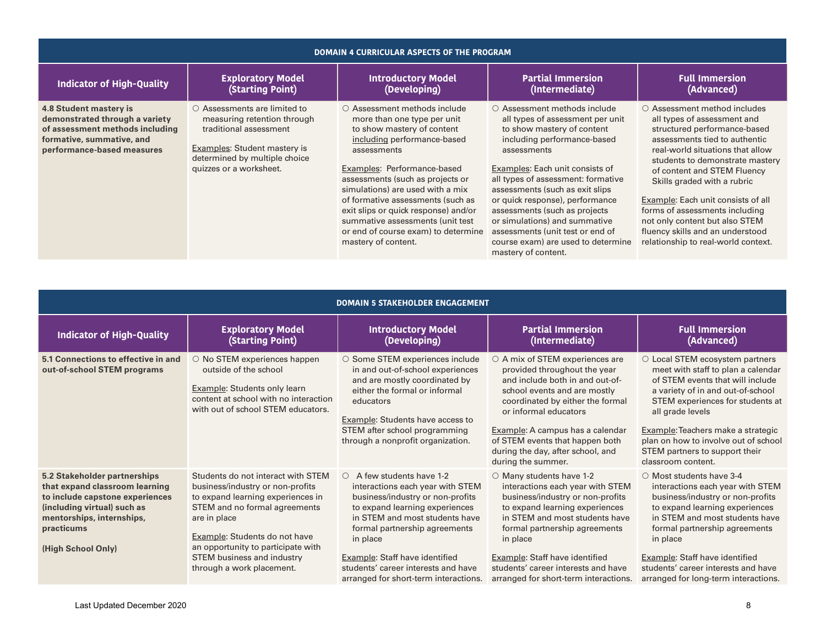| <b>DOMAIN 4 CURRICULAR ASPECTS OF THE PROGRAM</b>                                                                                                      |                                                                                                                                                                                                |                                                                                                                                                                                                                                                                                                                                                                                                                               |                                                                                                                                                                                                                                                                                                                                                                                                                                                                         |                                                                                                                                                                                                                                                                                                                                                                                                                                                        |  |
|--------------------------------------------------------------------------------------------------------------------------------------------------------|------------------------------------------------------------------------------------------------------------------------------------------------------------------------------------------------|-------------------------------------------------------------------------------------------------------------------------------------------------------------------------------------------------------------------------------------------------------------------------------------------------------------------------------------------------------------------------------------------------------------------------------|-------------------------------------------------------------------------------------------------------------------------------------------------------------------------------------------------------------------------------------------------------------------------------------------------------------------------------------------------------------------------------------------------------------------------------------------------------------------------|--------------------------------------------------------------------------------------------------------------------------------------------------------------------------------------------------------------------------------------------------------------------------------------------------------------------------------------------------------------------------------------------------------------------------------------------------------|--|
| <b>Indicator of High-Quality</b>                                                                                                                       | <b>Exploratory Model</b><br>(Starting Point)                                                                                                                                                   | <b>Introductory Model</b><br>(Developing)                                                                                                                                                                                                                                                                                                                                                                                     | <b>Partial Immersion</b><br>(Intermediate)                                                                                                                                                                                                                                                                                                                                                                                                                              | <b>Full Immersion</b><br>(Advanced)                                                                                                                                                                                                                                                                                                                                                                                                                    |  |
| 4.8 Student mastery is<br>demonstrated through a variety<br>of assessment methods including<br>formative, summative, and<br>performance-based measures | $\circ$ Assessments are limited to<br>measuring retention through<br>traditional assessment<br><b>Examples: Student mastery is</b><br>determined by multiple choice<br>quizzes or a worksheet. | ○ Assessment methods include<br>more than one type per unit<br>to show mastery of content<br>including performance-based<br>assessments<br>Examples: Performance-based<br>assessments (such as projects or<br>simulations) are used with a mix<br>of formative assessments (such as<br>exit slips or quick response) and/or<br>summative assessments (unit test<br>or end of course exam) to determine<br>mastery of content. | $\bigcirc$ Assessment methods include<br>all types of assessment per unit<br>to show mastery of content<br>including performance-based<br>assessments<br>Examples: Each unit consists of<br>all types of assessment: formative<br>assessments (such as exit slips<br>or quick response), performance<br>assessments (such as projects<br>or simulations) and summative<br>assessments (unit test or end of<br>course exam) are used to determine<br>mastery of content. | ○ Assessment method includes<br>all types of assessment and<br>structured performance-based<br>assessments tied to authentic<br>real-world situations that allow<br>students to demonstrate mastery<br>of content and STEM Fluency<br>Skills graded with a rubric<br>Example: Each unit consists of all<br>forms of assessments including<br>not only content but also STEM<br>fluency skills and an understood<br>relationship to real-world context. |  |

| <b>DOMAIN 5 STAKEHOLDER ENGAGEMENT</b>                                                                                                                                                            |                                                                                                                                                                                                                                                                                                |                                                                                                                                                                                                                                                                                                                                          |                                                                                                                                                                                                                                                                                                                                           |                                                                                                                                                                                                                                                                                                                                              |  |
|---------------------------------------------------------------------------------------------------------------------------------------------------------------------------------------------------|------------------------------------------------------------------------------------------------------------------------------------------------------------------------------------------------------------------------------------------------------------------------------------------------|------------------------------------------------------------------------------------------------------------------------------------------------------------------------------------------------------------------------------------------------------------------------------------------------------------------------------------------|-------------------------------------------------------------------------------------------------------------------------------------------------------------------------------------------------------------------------------------------------------------------------------------------------------------------------------------------|----------------------------------------------------------------------------------------------------------------------------------------------------------------------------------------------------------------------------------------------------------------------------------------------------------------------------------------------|--|
| <b>Indicator of High-Quality</b>                                                                                                                                                                  | <b>Exploratory Model</b><br>(Starting Point)                                                                                                                                                                                                                                                   | <b>Introductory Model</b><br>(Developing)                                                                                                                                                                                                                                                                                                | <b>Partial Immersion</b><br>(Intermediate)                                                                                                                                                                                                                                                                                                | <b>Full Immersion</b><br>(Advanced)                                                                                                                                                                                                                                                                                                          |  |
| 5.1 Connections to effective in and<br>out-of-school STEM programs                                                                                                                                | $\circ$ No STEM experiences happen<br>outside of the school<br><b>Example: Students only learn</b><br>content at school with no interaction<br>with out of school STEM educators.                                                                                                              | ○ Some STEM experiences include<br>in and out-of-school experiences<br>and are mostly coordinated by<br>either the formal or informal<br>educators<br>Example: Students have access to<br>STEM after school programming<br>through a nonprofit organization.                                                                             | ○ A mix of STEM experiences are<br>provided throughout the year<br>and include both in and out-of-<br>school events and are mostly<br>coordinated by either the formal<br>or informal educators<br>Example: A campus has a calendar<br>of STEM events that happen both<br>during the day, after school, and<br>during the summer.         | ○ Local STEM ecosystem partners<br>meet with staff to plan a calendar<br>of STEM events that will include<br>a variety of in and out-of-school<br>STEM experiences for students at<br>all grade levels<br>Example: Teachers make a strategic<br>plan on how to involve out of school<br>STEM partners to support their<br>classroom content. |  |
| 5.2 Stakeholder partnerships<br>that expand classroom learning<br>to include capstone experiences<br>(including virtual) such as<br>mentorships, internships,<br>practicums<br>(High School Only) | Students do not interact with STEM<br>business/industry or non-profits<br>to expand learning experiences in<br>STEM and no formal agreements<br>are in place<br>Example: Students do not have<br>an opportunity to participate with<br>STEM business and industry<br>through a work placement. | A few students have 1-2<br>0.<br>interactions each year with STEM<br>business/industry or non-profits<br>to expand learning experiences<br>in STEM and most students have<br>formal partnership agreements<br>in place<br>Example: Staff have identified<br>students' career interests and have<br>arranged for short-term interactions. | $\circ$ Many students have 1-2<br>interactions each year with STEM<br>business/industry or non-profits<br>to expand learning experiences<br>in STEM and most students have<br>formal partnership agreements<br>in place<br>Example: Staff have identified<br>students' career interests and have<br>arranged for short-term interactions. | ○ Most students have 3-4<br>interactions each year with STEM<br>business/industry or non-profits<br>to expand learning experiences<br>in STEM and most students have<br>formal partnership agreements<br>in place<br>Example: Staff have identified<br>students' career interests and have<br>arranged for long-term interactions.           |  |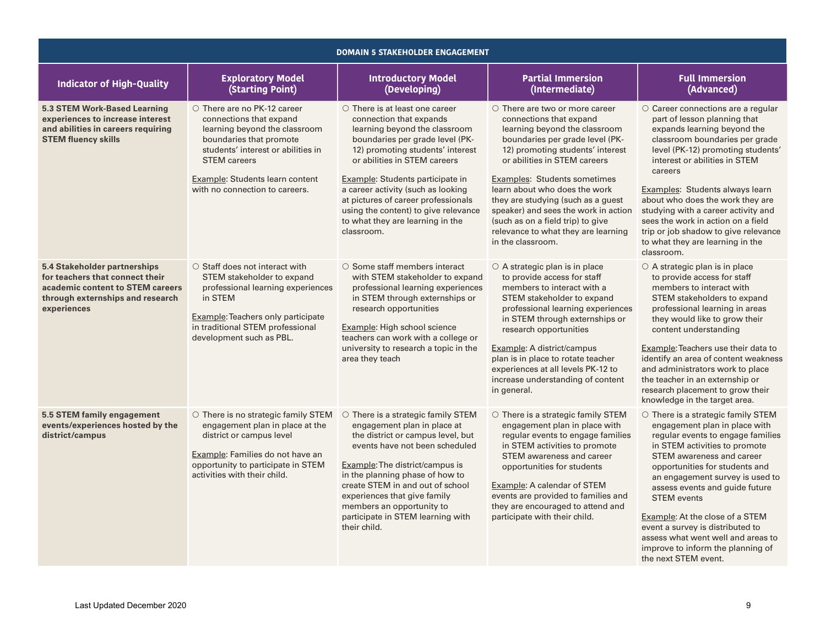| <b>DOMAIN 5 STAKEHOLDER ENGAGEMENT</b>                                                                                                                 |                                                                                                                                                                                                                                                      |                                                                                                                                                                                                                                                                                                                                                                                                                    |                                                                                                                                                                                                                                                                                                                                                                                                                                                         |                                                                                                                                                                                                                                                                                                                                                                                                                                                                                     |  |
|--------------------------------------------------------------------------------------------------------------------------------------------------------|------------------------------------------------------------------------------------------------------------------------------------------------------------------------------------------------------------------------------------------------------|--------------------------------------------------------------------------------------------------------------------------------------------------------------------------------------------------------------------------------------------------------------------------------------------------------------------------------------------------------------------------------------------------------------------|---------------------------------------------------------------------------------------------------------------------------------------------------------------------------------------------------------------------------------------------------------------------------------------------------------------------------------------------------------------------------------------------------------------------------------------------------------|-------------------------------------------------------------------------------------------------------------------------------------------------------------------------------------------------------------------------------------------------------------------------------------------------------------------------------------------------------------------------------------------------------------------------------------------------------------------------------------|--|
| <b>Indicator of High-Quality</b>                                                                                                                       | <b>Exploratory Model</b><br>(Starting Point)                                                                                                                                                                                                         | <b>Introductory Model</b><br>(Developing)                                                                                                                                                                                                                                                                                                                                                                          | <b>Partial Immersion</b><br>(Intermediate)                                                                                                                                                                                                                                                                                                                                                                                                              | <b>Full Immersion</b><br>(Advanced)                                                                                                                                                                                                                                                                                                                                                                                                                                                 |  |
| 5.3 STEM Work-Based Learning<br>experiences to increase interest<br>and abilities in careers requiring<br><b>STEM fluency skills</b>                   | ○ There are no PK-12 career<br>connections that expand<br>learning beyond the classroom<br>boundaries that promote<br>students' interest or abilities in<br><b>STEM</b> careers<br>Example: Students learn content<br>with no connection to careers. | $\circ$ There is at least one career<br>connection that expands<br>learning beyond the classroom<br>boundaries per grade level (PK-<br>12) promoting students' interest<br>or abilities in STEM careers<br>Example: Students participate in<br>a career activity (such as looking<br>at pictures of career professionals<br>using the content) to give relevance<br>to what they are learning in the<br>classroom. | $\circ$ There are two or more career<br>connections that expand<br>learning beyond the classroom<br>boundaries per grade level (PK-<br>12) promoting students' interest<br>or abilities in STEM careers<br>Examples: Students sometimes<br>learn about who does the work<br>they are studying (such as a quest<br>speaker) and sees the work in action<br>(such as on a field trip) to give<br>relevance to what they are learning<br>in the classroom. | ○ Career connections are a regular<br>part of lesson planning that<br>expands learning beyond the<br>classroom boundaries per grade<br>level (PK-12) promoting students'<br>interest or abilities in STEM<br>careers<br>Examples: Students always learn<br>about who does the work they are<br>studying with a career activity and<br>sees the work in action on a field<br>trip or job shadow to give relevance<br>to what they are learning in the<br>classroom.                  |  |
| 5.4 Stakeholder partnerships<br>for teachers that connect their<br>academic content to STEM careers<br>through externships and research<br>experiences | $\circ$ Staff does not interact with<br>STEM stakeholder to expand<br>professional learning experiences<br>in STEM<br>Example: Teachers only participate<br>in traditional STEM professional<br>development such as PBL.                             | $\circ$ Some staff members interact<br>with STEM stakeholder to expand<br>professional learning experiences<br>in STEM through externships or<br>research opportunities<br>Example: High school science<br>teachers can work with a college or<br>university to research a topic in the<br>area they teach                                                                                                         | $\circ$ A strategic plan is in place<br>to provide access for staff<br>members to interact with a<br>STEM stakeholder to expand<br>professional learning experiences<br>in STEM through externships or<br>research opportunities<br>Example: A district/campus<br>plan is in place to rotate teacher<br>experiences at all levels PK-12 to<br>increase understanding of content<br>in general.                                                          | $\circ$ A strategic plan is in place<br>to provide access for staff<br>members to interact with<br>STEM stakeholders to expand<br>professional learning in areas<br>they would like to grow their<br>content understanding<br>Example: Teachers use their data to<br>identify an area of content weakness<br>and administrators work to place<br>the teacher in an externship or<br>research placement to grow their<br>knowledge in the target area.                               |  |
| 5.5 STEM family engagement<br>events/experiences hosted by the<br>district/campus                                                                      | $\circ$ There is no strategic family STEM<br>engagement plan in place at the<br>district or campus level<br>Example: Families do not have an<br>opportunity to participate in STEM<br>activities with their child.                                   | $\circ$ There is a strategic family STEM<br>engagement plan in place at<br>the district or campus level, but<br>events have not been scheduled<br>Example: The district/campus is<br>in the planning phase of how to<br>create STEM in and out of school<br>experiences that give family<br>members an opportunity to<br>participate in STEM learning with<br>their child.                                         | $\circ$ There is a strategic family STEM<br>engagement plan in place with<br>regular events to engage families<br>in STEM activities to promote<br>STEM awareness and career<br>opportunities for students<br>Example: A calendar of STEM<br>events are provided to families and<br>they are encouraged to attend and<br>participate with their child.                                                                                                  | $\circ$ There is a strategic family STEM<br>engagement plan in place with<br>regular events to engage families<br>in STEM activities to promote<br>STEM awareness and career<br>opportunities for students and<br>an engagement survey is used to<br>assess events and guide future<br><b>STEM</b> events<br>Example: At the close of a STEM<br>event a survey is distributed to<br>assess what went well and areas to<br>improve to inform the planning of<br>the next STEM event. |  |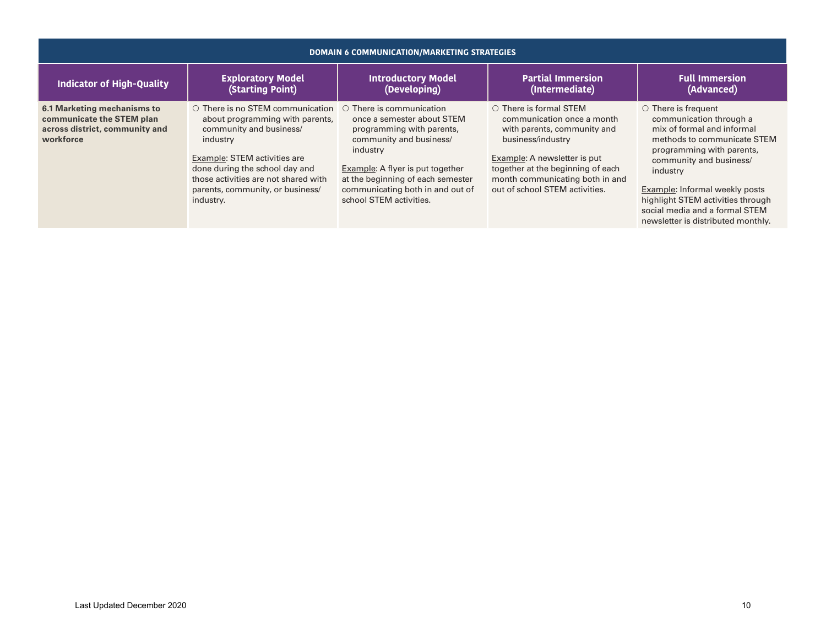| <b>DOMAIN 6 COMMUNICATION/MARKETING STRATEGIES</b>                                                      |                                                                                                                                                                                                                                                                             |                                                                                                                                                                                                                                                                          |                                                                                                                                                                                                                                                          |                                                                                                                                                                                                                                                                                                                                             |  |
|---------------------------------------------------------------------------------------------------------|-----------------------------------------------------------------------------------------------------------------------------------------------------------------------------------------------------------------------------------------------------------------------------|--------------------------------------------------------------------------------------------------------------------------------------------------------------------------------------------------------------------------------------------------------------------------|----------------------------------------------------------------------------------------------------------------------------------------------------------------------------------------------------------------------------------------------------------|---------------------------------------------------------------------------------------------------------------------------------------------------------------------------------------------------------------------------------------------------------------------------------------------------------------------------------------------|--|
| <b>Indicator of High-Quality</b>                                                                        | <b>Exploratory Model</b><br>(Starting Point)                                                                                                                                                                                                                                | <b>Introductory Model</b><br>(Developing)                                                                                                                                                                                                                                | <b>Partial Immersion</b><br>(Intermediate)                                                                                                                                                                                                               | <b>Full Immersion</b><br>(Advanced)                                                                                                                                                                                                                                                                                                         |  |
| 6.1 Marketing mechanisms to<br>communicate the STEM plan<br>across district, community and<br>workforce | $\circ$ There is no STEM communication<br>about programming with parents,<br>community and business/<br>industry<br>Example: STEM activities are<br>done during the school day and<br>those activities are not shared with<br>parents, community, or business/<br>industry. | $\circ$ There is communication<br>once a semester about STEM<br>programming with parents,<br>community and business/<br>industry<br>Example: A flyer is put together<br>at the beginning of each semester<br>communicating both in and out of<br>school STEM activities. | $\circ$ There is formal STEM<br>communication once a month<br>with parents, community and<br>business/industry<br>Example: A newsletter is put<br>together at the beginning of each<br>month communicating both in and<br>out of school STEM activities. | $\circ$ There is frequent<br>communication through a<br>mix of formal and informal<br>methods to communicate STEM<br>programming with parents,<br>community and business/<br>industry<br><b>Example:</b> Informal weekly posts<br>highlight STEM activities through<br>social media and a formal STEM<br>newsletter is distributed monthly. |  |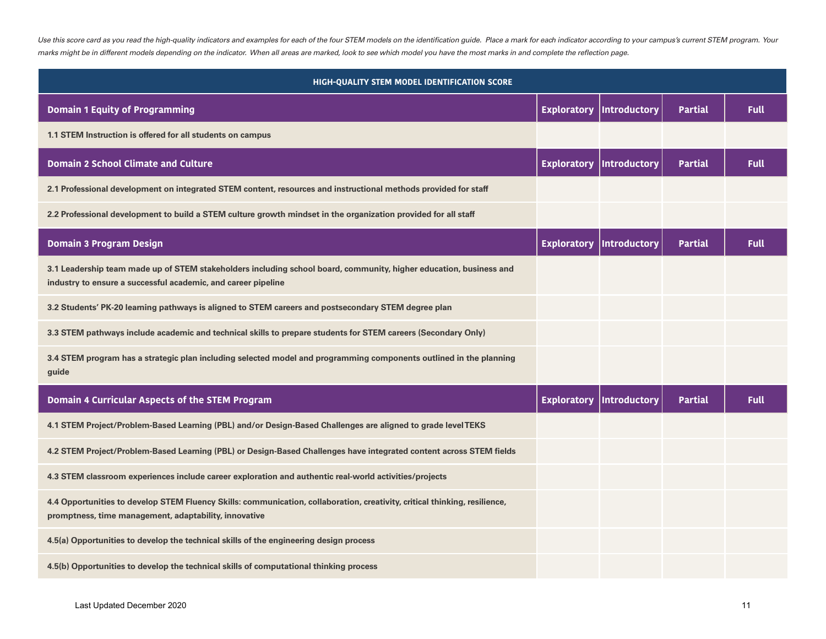Use this score card as you read the high-quality indicators and examples for each of the four STEM models on the identification guide. Place a mark for each indicator according to your campus's current STEM program. Your *marks might be in different models depending on the indicator. When all areas are marked, look to see which model you have the most marks in and complete the reflection page.* 

| HIGH-QUALITY STEM MODEL IDENTIFICATION SCORE                                                                                                                                        |                    |                     |                |             |  |  |
|-------------------------------------------------------------------------------------------------------------------------------------------------------------------------------------|--------------------|---------------------|----------------|-------------|--|--|
| <b>Domain 1 Equity of Programming</b>                                                                                                                                               | <b>Exploratory</b> | <b>Introductory</b> | <b>Partial</b> | <b>Full</b> |  |  |
| 1.1 STEM Instruction is offered for all students on campus                                                                                                                          |                    |                     |                |             |  |  |
| <b>Domain 2 School Climate and Culture</b>                                                                                                                                          | <b>Exploratory</b> | <b>Introductory</b> | <b>Partial</b> | <b>Full</b> |  |  |
| 2.1 Professional development on integrated STEM content, resources and instructional methods provided for staff                                                                     |                    |                     |                |             |  |  |
| 2.2 Professional development to build a STEM culture growth mindset in the organization provided for all staff                                                                      |                    |                     |                |             |  |  |
| <b>Domain 3 Program Design</b>                                                                                                                                                      | <b>Exploratory</b> | <b>Introductory</b> | <b>Partial</b> | <b>Full</b> |  |  |
| 3.1 Leadership team made up of STEM stakeholders including school board, community, higher education, business and<br>industry to ensure a successful academic, and career pipeline |                    |                     |                |             |  |  |
| 3.2 Students' PK-20 learning pathways is aligned to STEM careers and postsecondary STEM degree plan                                                                                 |                    |                     |                |             |  |  |
| 3.3 STEM pathways include academic and technical skills to prepare students for STEM careers (Secondary Only)                                                                       |                    |                     |                |             |  |  |
| 3.4 STEM program has a strategic plan including selected model and programming components outlined in the planning<br>guide                                                         |                    |                     |                |             |  |  |
| Domain 4 Curricular Aspects of the STEM Program                                                                                                                                     | <b>Exploratory</b> | <b>Introductory</b> | <b>Partial</b> | <b>Full</b> |  |  |
| 4.1 STEM Project/Problem-Based Learning (PBL) and/or Design-Based Challenges are aligned to grade level TEKS                                                                        |                    |                     |                |             |  |  |
| 4.2 STEM Project/Problem-Based Learning (PBL) or Design-Based Challenges have integrated content across STEM fields                                                                 |                    |                     |                |             |  |  |
| 4.3 STEM classroom experiences include career exploration and authentic real-world activities/projects                                                                              |                    |                     |                |             |  |  |
| 4.4 Opportunities to develop STEM Fluency Skills: communication, collaboration, creativity, critical thinking, resilience,<br>promptness, time management, adaptability, innovative |                    |                     |                |             |  |  |
| 4.5(a) Opportunities to develop the technical skills of the engineering design process                                                                                              |                    |                     |                |             |  |  |
| 4.5(b) Opportunities to develop the technical skills of computational thinking process                                                                                              |                    |                     |                |             |  |  |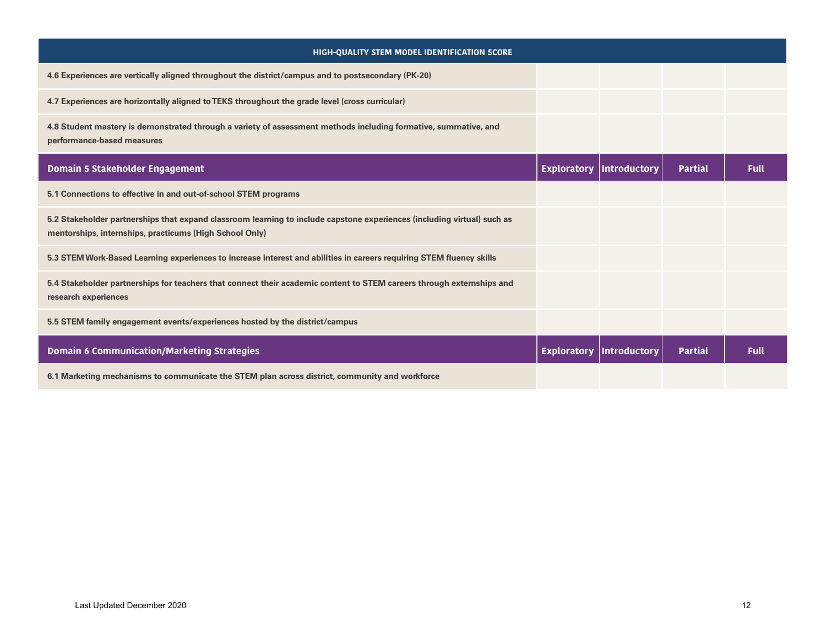| HIGH-QUALITY STEM MODEL IDENTIFICATION SCORE                                                                                                                                       |                    |              |                |             |
|------------------------------------------------------------------------------------------------------------------------------------------------------------------------------------|--------------------|--------------|----------------|-------------|
| 4.6 Experiences are vertically aligned throughout the district/campus and to postsecondary (PK-20)                                                                                 |                    |              |                |             |
| 4.7 Experiences are horizontally aligned to TEKS throughout the grade level (cross curricular)                                                                                     |                    |              |                |             |
| 4.8 Student mastery is demonstrated through a variety of assessment methods including formative, summative, and<br>performance-based measures                                      |                    |              |                |             |
| Domain 5 Stakeholder Engagement                                                                                                                                                    | <b>Exploratory</b> | Introductory | <b>Partial</b> | <b>Full</b> |
| 5.1 Connections to effective in and out-of-school STEM programs                                                                                                                    |                    |              |                |             |
| 5.2 Stakeholder partnerships that expand classroom learning to include capstone experiences (including virtual) such as<br>mentorships, internships, practicums (High School Only) |                    |              |                |             |
| 5.3 STEM Work-Based Learning experiences to increase interest and abilities in careers requiring STEM fluency skills                                                               |                    |              |                |             |
| 5.4 Stakeholder partnerships for teachers that connect their academic content to STEM careers through externships and<br>research experiences                                      |                    |              |                |             |
| 5.5 STEM family engagement events/experiences hosted by the district/campus                                                                                                        |                    |              |                |             |
| <b>Domain 6 Communication/Marketing Strategies</b>                                                                                                                                 | <b>Exploratory</b> | Introductory | <b>Partial</b> | <b>Full</b> |
| 6.1 Marketing mechanisms to communicate the STEM plan across district, community and workforce                                                                                     |                    |              |                |             |